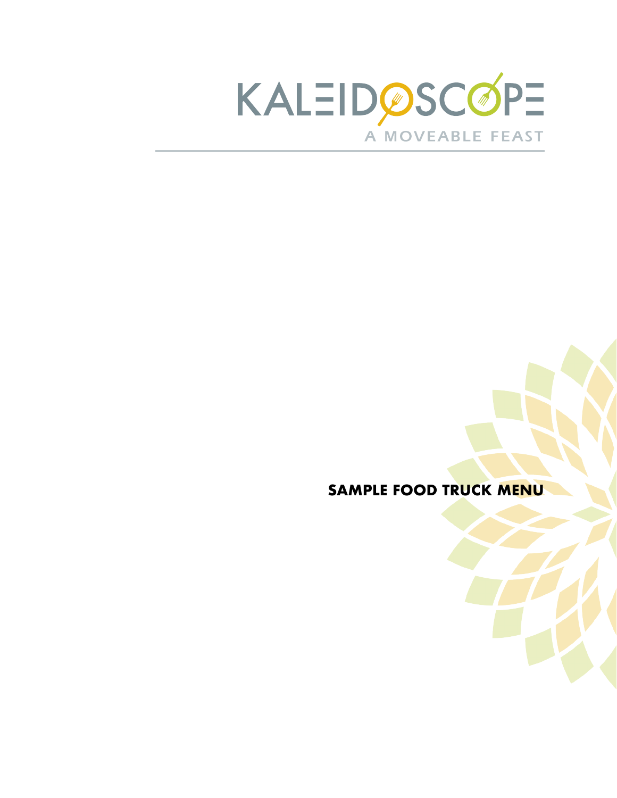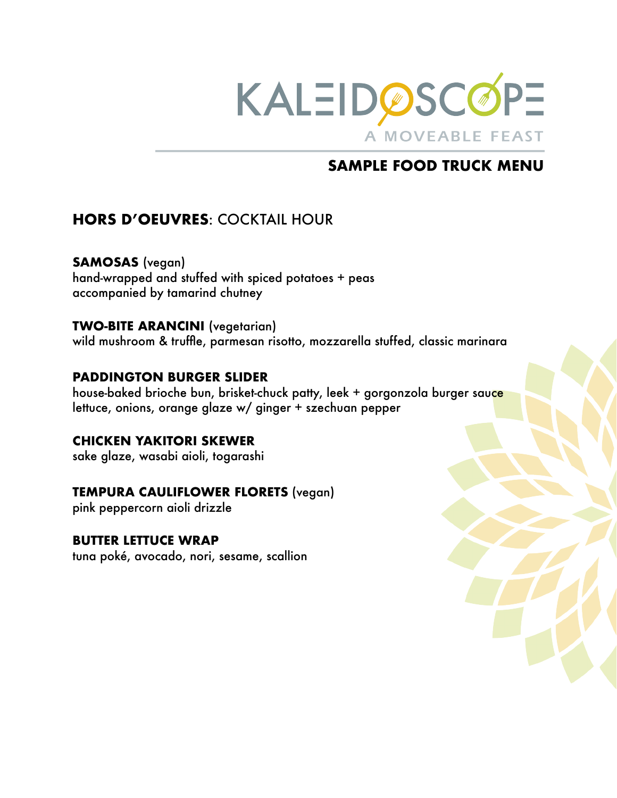

# **HORS D'OEUVRES**: COCKTAIL HOUR

**SAMOSAS** (vegan) hand-wrapped and stuffed with spiced potatoes + peas accompanied by tamarind chutney

## **TWO-BITE ARANCINI** (vegetarian)

wild mushroom & truffle, parmesan risotto, mozzarella stuffed, classic marinara

### **PADDINGTON BURGER SLIDER**

house-baked brioche bun, brisket-chuck patty, leek + gorgonzola burger sauce lettuce, onions, orange glaze w/ ginger + szechuan pepper

### **CHICKEN YAKITORI SKEWER**

sake glaze, wasabi aioli, togarashi

## **TEMPURA CAULIFLOWER FLORETS** (vegan)

pink peppercorn aioli drizzle

### **BUTTER LETTUCE WRAP**

tuna poké, avocado, nori, sesame, scallion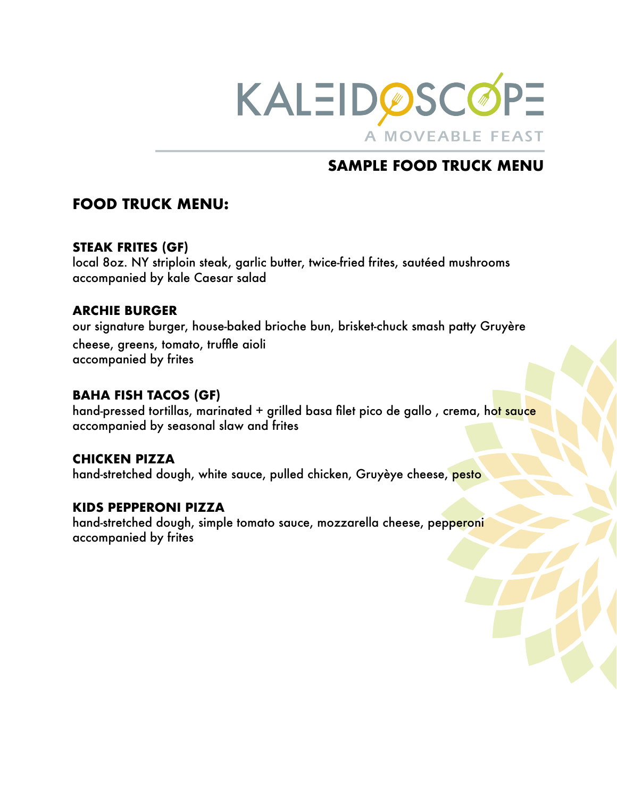

# **FOOD TRUCK MENU:**

## **STEAK FRITES (GF)**

local 8oz. NY striploin steak, garlic butter, twice-fried frites, sautéed mushrooms accompanied by kale Caesar salad

## **ARCHIE BURGER**

our signature burger, house-baked brioche bun, brisket-chuck smash patty Gruyère cheese, greens, tomato, truffle aioli accompanied by frites

## **BAHA FISH TACOS (GF)**

hand-pressed tortillas, marinated + grilled basa filet pico de gallo, crema, hot sauce accompanied by seasonal slaw and frites

### **CHICKEN PIZZA**

hand-stretched dough, white sauce, pulled chicken, Gruyèye cheese, pesto

### **KIDS PEPPERONI PIZZA**

hand-stretched dough, simple tomato sauce, mozzarella cheese, pepperoni accompanied by frites